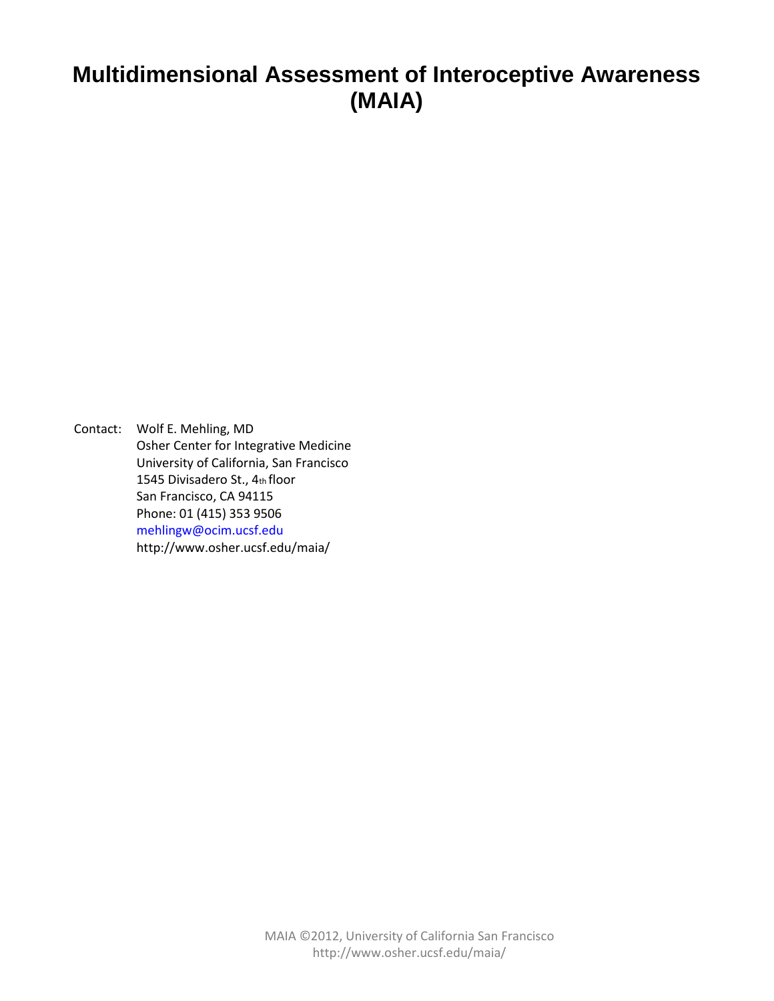# **Multidimensional Assessment of Interoceptive Awareness (MAIA)**

Contact: Wolf E. Mehling, MD Osher Center for Integrative Medicine University of California, San Francisco 1545 Divisadero St., 4th floor San Francisco, CA 94115 Phone: 01 (415) 353 9506 mehlingw@ocim.ucsf.edu http://www.osher.ucsf.edu/maia/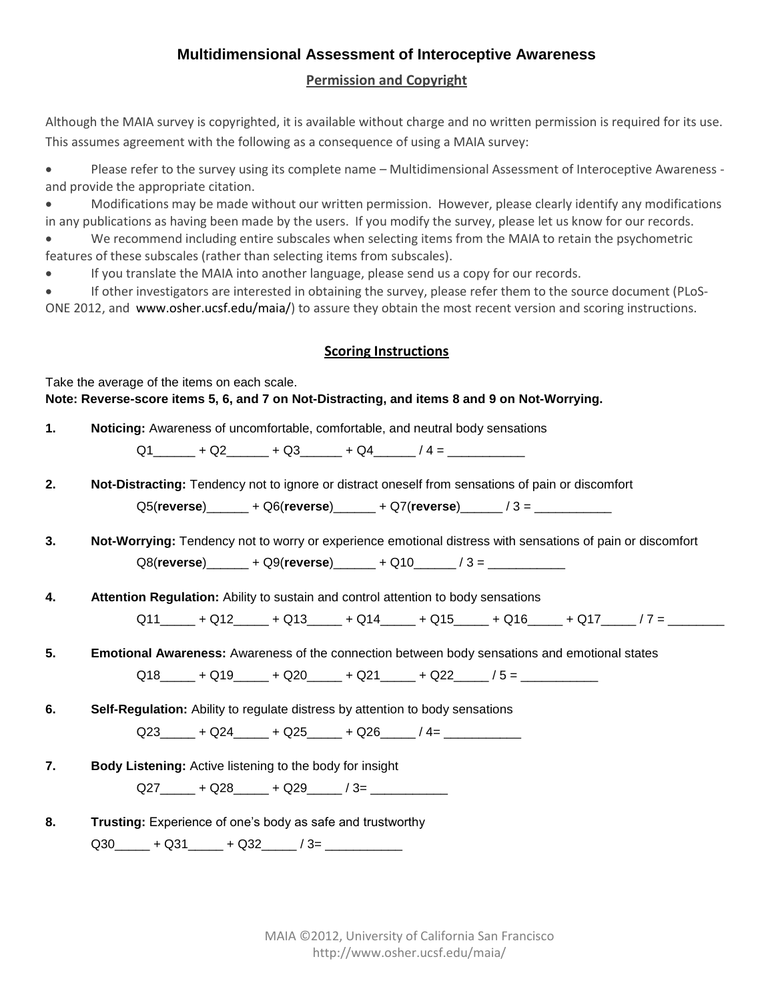## **Multidimensional Assessment of Interoceptive Awareness**

#### **Permission and Copyright**

Although the MAIA survey is copyrighted, it is available without charge and no written permission is required for its use. This assumes agreement with the following as a consequence of using a MAIA survey:

 Please refer to the survey using its complete name – Multidimensional Assessment of Interoceptive Awareness and provide the appropriate citation.

 Modifications may be made without our written permission. However, please clearly identify any modifications in any publications as having been made by the users. If you modify the survey, please let us know for our records.

 We recommend including entire subscales when selecting items from the MAIA to retain the psychometric features of these subscales (rather than selecting items from subscales).

If you translate the MAIA into another language, please send us a copy for our records.

 If other investigators are interested in obtaining the survey, please refer them to the source document (PLoS-ONE 2012, and www.osher.ucsf.edu/maia/) to assure they obtain the most recent version and scoring instructions.

### **Scoring Instructions**

Take the average of the items on each scale. **Note: Reverse-score items 5, 6, and 7 on Not-Distracting, and items 8 and 9 on Not-Worrying.** 

**1. Noticing:** Awareness of uncomfortable, comfortable, and neutral body sensations

Q1 + Q2 + Q3 + Q4 / 4 =

- **2. Not-Distracting:** Tendency not to ignore or distract oneself from sensations of pain or discomfort Q5(**reverse**)\_\_\_\_\_\_ + Q6(**reverse**)\_\_\_\_\_\_ + Q7(**reverse**)\_\_\_\_\_\_ / 3 = \_\_\_\_\_\_\_\_\_\_\_
- **3. Not-Worrying:** Tendency not to worry or experience emotional distress with sensations of pain or discomfort Q8(**reverse**)\_\_\_\_\_\_ + Q9(**reverse**)\_\_\_\_\_\_ + Q10\_\_\_\_\_\_ / 3 = \_\_\_\_\_\_\_\_\_\_\_

**4. Attention Regulation:** Ability to sustain and control attention to body sensations

 $Q11$   $+ Q12$   $+ Q13$   $+ Q14$   $+ Q15$   $+ Q16$   $+ Q17$  / 7 =

- **5. Emotional Awareness:** Awareness of the connection between body sensations and emotional states  $Q18$  +  $Q19$  +  $Q20$  +  $Q21$  +  $Q22$  / 5 =
- **6. Self-Regulation:** Ability to regulate distress by attention to body sensations

 $Q23 \rightarrow Q24 \rightarrow Q25 \rightarrow Q26 \rightarrow Q4=$ 

**7. Body Listening:** Active listening to the body for insight

 $Q27$   $+$   $Q28$   $+$   $Q29$   $/$   $3=$   $-$ 

**8. Trusting:** Experience of one's body as safe and trustworthy  $Q30$  +  $Q31$  +  $Q32$  /  $3=$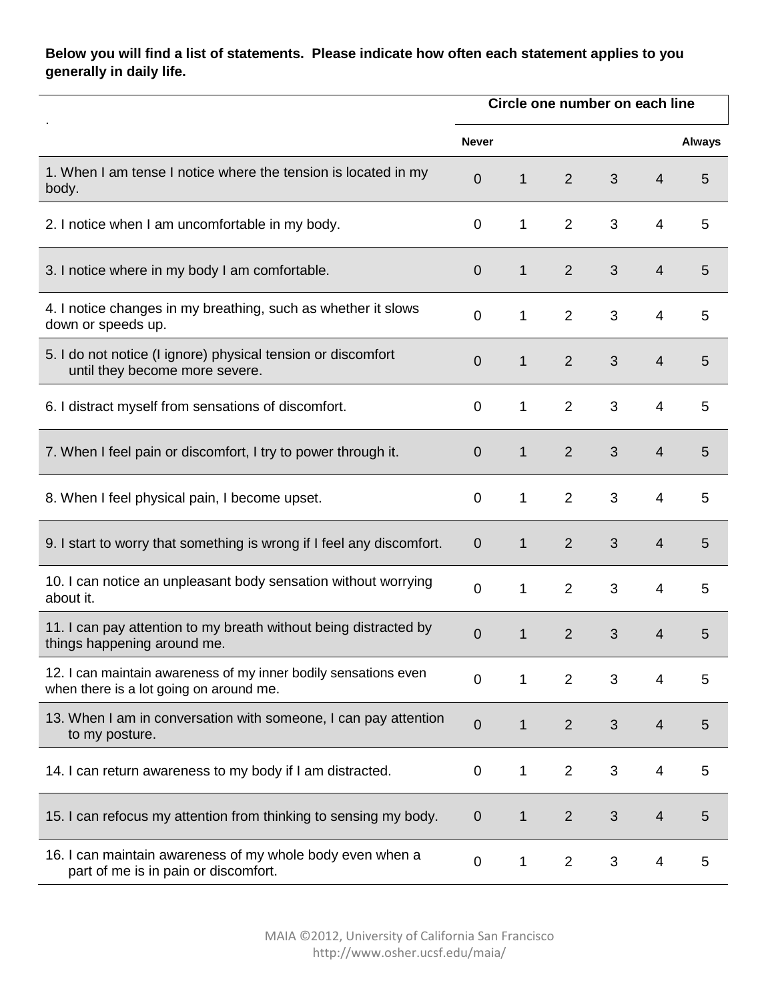## **Below you will find a list of statements. Please indicate how often each statement applies to you generally in daily life.**

|                                                                                                            | Circle one number on each line |              |                |                |                |               |  |
|------------------------------------------------------------------------------------------------------------|--------------------------------|--------------|----------------|----------------|----------------|---------------|--|
|                                                                                                            | <b>Never</b>                   |              |                |                |                | <b>Always</b> |  |
| 1. When I am tense I notice where the tension is located in my<br>body.                                    | $\overline{0}$                 | $\mathbf{1}$ | 2              | 3              | $\overline{4}$ | 5             |  |
| 2. I notice when I am uncomfortable in my body.                                                            | $\mathbf 0$                    | 1            | $\overline{2}$ | 3              | 4              | 5             |  |
| 3. I notice where in my body I am comfortable.                                                             | $\overline{0}$                 | $\mathbf{1}$ | $\overline{2}$ | 3              | $\overline{4}$ | 5             |  |
| 4. I notice changes in my breathing, such as whether it slows<br>down or speeds up.                        | $\mathbf 0$                    | $\mathbf 1$  | $\overline{2}$ | 3              | 4              | 5             |  |
| 5. I do not notice (I ignore) physical tension or discomfort<br>until they become more severe.             | $\overline{0}$                 | $\mathbf{1}$ | $\overline{2}$ | 3              | $\overline{4}$ | 5             |  |
| 6. I distract myself from sensations of discomfort.                                                        | $\mathbf 0$                    | 1            | $\overline{2}$ | 3              | 4              | 5             |  |
| 7. When I feel pain or discomfort, I try to power through it.                                              | $\overline{0}$                 | $\mathbf{1}$ | $\overline{2}$ | 3              | $\overline{4}$ | 5             |  |
| 8. When I feel physical pain, I become upset.                                                              | $\mathbf 0$                    | 1            | $\overline{2}$ | 3              | 4              | 5             |  |
| 9. I start to worry that something is wrong if I feel any discomfort.                                      | $\overline{0}$                 | $\mathbf{1}$ | $\overline{2}$ | 3              | $\overline{4}$ | 5             |  |
| 10. I can notice an unpleasant body sensation without worrying<br>about it.                                | $\mathbf 0$                    | 1            | $\overline{2}$ | 3              | 4              | 5             |  |
| 11. I can pay attention to my breath without being distracted by<br>things happening around me.            | $\overline{0}$                 | $\mathbf{1}$ | $\overline{2}$ | 3              | $\overline{4}$ | 5             |  |
| 12. I can maintain awareness of my inner bodily sensations even<br>when there is a lot going on around me. | $\mathbf 0$                    | 1            | 2              | 3              | 4              | 5             |  |
| 13. When I am in conversation with someone, I can pay attention<br>to my posture.                          | $\mathbf 0$                    | $\mathbf 1$  | $\overline{2}$ | 3              | $\overline{4}$ | 5             |  |
| 14. I can return awareness to my body if I am distracted.                                                  | $\mathbf 0$                    | $\mathbf 1$  | $\overline{2}$ | 3              | 4              | 5             |  |
| 15. I can refocus my attention from thinking to sensing my body.                                           | $\mathbf 0$                    | $\mathbf{1}$ | $\overline{2}$ | $\mathfrak{S}$ | $\overline{4}$ | 5             |  |
| 16. I can maintain awareness of my whole body even when a<br>part of me is in pain or discomfort.          | $\mathbf 0$                    | 1            | $\overline{2}$ | 3              | 4              | 5             |  |